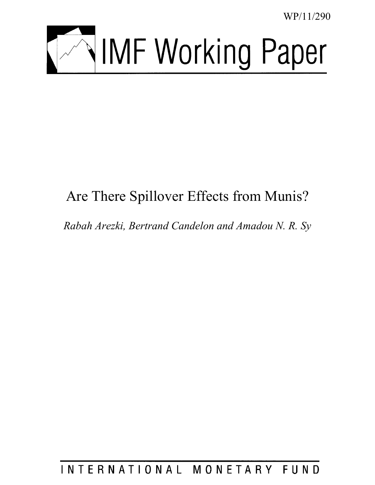WP/11/290



# Are There Spillover Effects from Munis?

*Rabah Arezki, Bertrand Candelon and Amadou N. R. Sy* 

INTERNATIONAL MONETARY FUND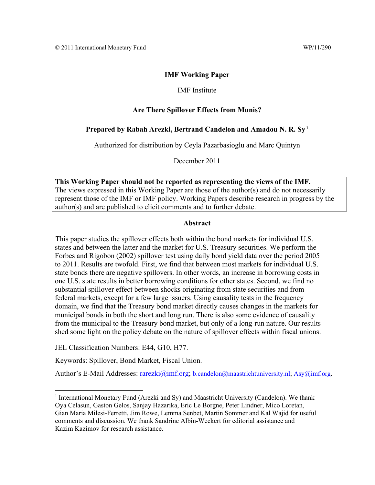### **IMF Working Paper**

#### IMF Institute

#### **Are There Spillover Effects from Munis?**

#### **Prepared by Rabah Arezki, Bertrand Candelon and Amadou N. R. Sy 1**

Authorized for distribution by Ceyla Pazarbasioglu and Marc Quintyn

December 2011

**This Working Paper should not be reported as representing the views of the IMF.**  The views expressed in this Working Paper are those of the author(s) and do not necessarily represent those of the IMF or IMF policy. Working Papers describe research in progress by the author(s) and are published to elicit comments and to further debate.

#### **Abstract**

This paper studies the spillover effects both within the bond markets for individual U.S. states and between the latter and the market for U.S. Treasury securities. We perform the Forbes and Rigobon (2002) spillover test using daily bond yield data over the period 2005 to 2011. Results are twofold. First, we find that between most markets for individual U.S. state bonds there are negative spillovers. In other words, an increase in borrowing costs in one U.S. state results in better borrowing conditions for other states. Second, we find no substantial spillover effect between shocks originating from state securities and from federal markets, except for a few large issuers. Using causality tests in the frequency domain, we find that the Treasury bond market directly causes changes in the markets for municipal bonds in both the short and long run. There is also some evidence of causality from the municipal to the Treasury bond market, but only of a long-run nature. Our results shed some light on the policy debate on the nature of spillover effects within fiscal unions.

JEL Classification Numbers: E44, G10, H77.

1

Keywords: Spillover, Bond Market, Fiscal Union.

Author's E-Mail Addresses: rarezki@imf.org; b.candelon@maastrichtuniversity.nl; Asy@imf.org.

<sup>&</sup>lt;sup>1</sup> International Monetary Fund (Arezki and Sy) and Maastricht University (Candelon). We thank Oya Celasun, Gaston Gelos, Sanjay Hazarika, Eric Le Borgne, Peter Lindner, Mico Loretan, Gian Maria Milesi-Ferretti, Jim Rowe, Lemma Senbet, Martin Sommer and Kal Wajid for useful comments and discussion. We thank Sandrine Albin-Weckert for editorial assistance and Kazim Kazimov for research assistance.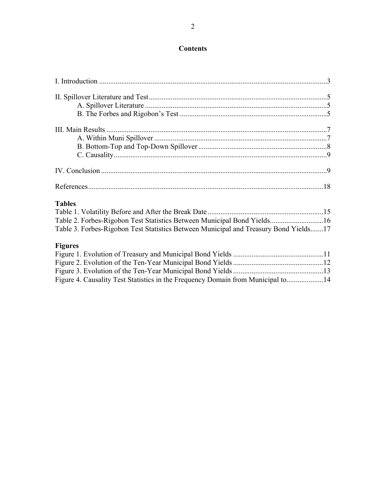# **Contents**

| <b>Tables</b>                                                                        |  |
|--------------------------------------------------------------------------------------|--|
|                                                                                      |  |
| Table 2. Forbes-Rigobon Test Statistics Between Municipal Bond Yields16              |  |
| Table 3. Forbes-Rigobon Test Statistics Between Municipal and Treasury Bond Yields17 |  |
| <b>Figures</b>                                                                       |  |
|                                                                                      |  |
|                                                                                      |  |
|                                                                                      |  |

Figure 4. Causality Test Statistics in the Frequency Domain from Municipal to....................14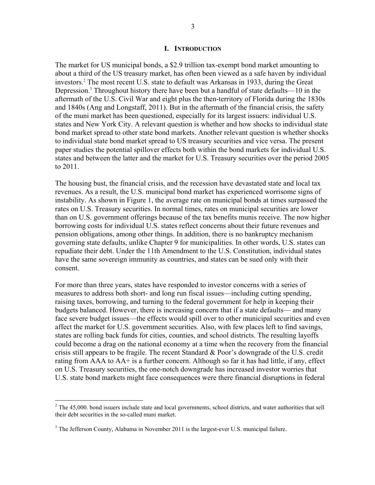#### **I. INTRODUCTION**

The market for US municipal bonds, a \$2.9 trillion tax-exempt bond market amounting to about a third of the US treasury market, has often been viewed as a safe haven by individual investors.2 The most recent U.S. state to default was Arkansas in 1933, during the Great Depression.<sup>3</sup> Throughout history there have been but a handful of state defaults—10 in the aftermath of the U.S. Civil War and eight plus the then-territory of Florida during the 1830s and 1840s (Ang and Longstaff, 2011). But in the aftermath of the financial crisis, the safety of the muni market has been questioned, especially for its largest issuers: individual U.S. states and New York City. A relevant question is whether and how shocks to individual state bond market spread to other state bond markets. Another relevant question is whether shocks to individual state bond market spread to US treasury securities and vice versa. The present paper studies the potential spillover effects both within the bond markets for individual U.S. states and between the latter and the market for U.S. Treasury securities over the period 2005 to 2011.

The housing bust, the financial crisis, and the recession have devastated state and local tax revenues. As a result, the U.S. municipal bond market has experienced worrisome signs of instability. As shown in Figure 1, the average rate on municipal bonds at times surpassed the rates on U.S. Treasury securities. In normal times, rates on municipal securities are lower than on U.S. government offerings because of the tax benefits munis receive. The now higher borrowing costs for individual U.S. states reflect concerns about their future revenues and pension obligations, among other things. In addition, there is no bankruptcy mechanism governing state defaults, unlike Chapter 9 for municipalities. In other words, U.S. states can repudiate their debt. Under the 11th Amendment to the U.S. Constitution, individual states have the same sovereign immunity as countries, and states can be sued only with their consent.

For more than three years, states have responded to investor concerns with a series of measures to address both short- and long run fiscal issues—including cutting spending, raising taxes, borrowing, and turning to the federal government for help in keeping their budgets balanced. However, there is increasing concern that if a state defaults— and many face severe budget issues—the effects would spill over to other municipal securities and even affect the market for U.S. government securities. Also, with few places left to find savings, states are rolling back funds for cities, counties, and school districts. The resulting layoffs could become a drag on the national economy at a time when the recovery from the financial crisis still appears to be fragile. The recent Standard & Poor's downgrade of the U.S. credit rating from AAA to AA+ is a further concern. Although so far it has had little, if any, effect on U.S. Treasury securities, the one-notch downgrade has increased investor worries that U.S. state bond markets might face consequences were there financial disruptions in federal

 $\overline{a}$ 

 $2^2$  The 45,000. bond issuers include state and local governments, school districts, and water authorities that sell their debt securities in the so-called muni market.

 $3$  The Jefferson County, Alabama in November 2011 is the largest-ever U.S. municipal failure.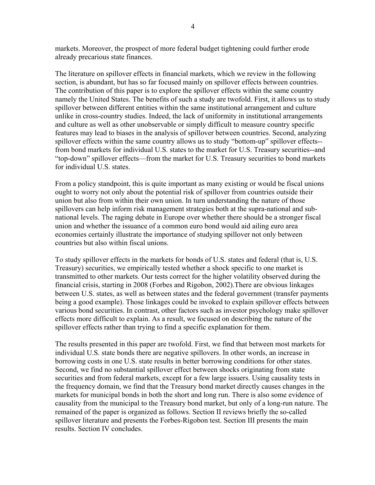markets. Moreover, the prospect of more federal budget tightening could further erode already precarious state finances.

The literature on spillover effects in financial markets, which we review in the following section, is abundant, but has so far focused mainly on spillover effects between countries. The contribution of this paper is to explore the spillover effects within the same country namely the United States. The benefits of such a study are twofold. First, it allows us to study spillover between different entities within the same institutional arrangement and culture unlike in cross-country studies. Indeed, the lack of uniformity in institutional arrangements and culture as well as other unobservable or simply difficult to measure country specific features may lead to biases in the analysis of spillover between countries. Second, analyzing spillover effects within the same country allows us to study "bottom-up" spillover effects- from bond markets for individual U.S. states to the market for U.S. Treasury securities--and "top-down" spillover effects—from the market for U.S. Treasury securities to bond markets for individual U.S. states.

From a policy standpoint, this is quite important as many existing or would be fiscal unions ought to worry not only about the potential risk of spillover from countries outside their union but also from within their own union. In turn understanding the nature of those spillovers can help inform risk management strategies both at the supra-national and subnational levels. The raging debate in Europe over whether there should be a stronger fiscal union and whether the issuance of a common euro bond would aid ailing euro area economies certainly illustrate the importance of studying spillover not only between countries but also within fiscal unions.

To study spillover effects in the markets for bonds of U.S. states and federal (that is, U.S. Treasury) securities, we empirically tested whether a shock specific to one market is transmitted to other markets. Our tests correct for the higher volatility observed during the financial crisis, starting in 2008 (Forbes and Rigobon, 2002).There are obvious linkages between U.S. states, as well as between states and the federal government (transfer payments being a good example). Those linkages could be invoked to explain spillover effects between various bond securities. In contrast, other factors such as investor psychology make spillover effects more difficult to explain. As a result, we focused on describing the nature of the spillover effects rather than trying to find a specific explanation for them.

The results presented in this paper are twofold. First, we find that between most markets for individual U.S. state bonds there are negative spillovers. In other words, an increase in borrowing costs in one U.S. state results in better borrowing conditions for other states. Second, we find no substantial spillover effect between shocks originating from state securities and from federal markets, except for a few large issuers. Using causality tests in the frequency domain, we find that the Treasury bond market directly causes changes in the markets for municipal bonds in both the short and long run. There is also some evidence of causality from the municipal to the Treasury bond market, but only of a long-run nature. The remained of the paper is organized as follows. Section II reviews briefly the so-called spillover literature and presents the Forbes-Rigobon test. Section III presents the main results. Section IV concludes.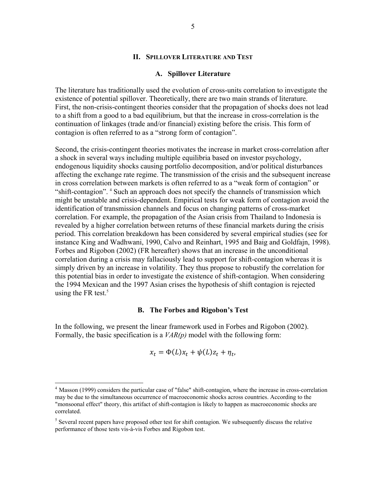#### **II. SPILLOVER LITERATURE AND TEST**

#### **A. Spillover Literature**

The literature has traditionally used the evolution of cross-units correlation to investigate the existence of potential spillover. Theoretically, there are two main strands of literature. First, the non-crisis-contingent theories consider that the propagation of shocks does not lead to a shift from a good to a bad equilibrium, but that the increase in cross-correlation is the continuation of linkages (trade and/or financial) existing before the crisis. This form of contagion is often referred to as a "strong form of contagion".

Second, the crisis-contingent theories motivates the increase in market cross-correlation after a shock in several ways including multiple equilibria based on investor psychology, endogenous liquidity shocks causing portfolio decomposition, and/or political disturbances affecting the exchange rate regime. The transmission of the crisis and the subsequent increase in cross correlation between markets is often referred to as a "weak form of contagion" or "shift-contagion". <sup>4</sup> Such an approach does not specify the channels of transmission which might be unstable and crisis-dependent. Empirical tests for weak form of contagion avoid the identification of transmission channels and focus on changing patterns of cross-market correlation. For example, the propagation of the Asian crisis from Thailand to Indonesia is revealed by a higher correlation between returns of these financial markets during the crisis period. This correlation breakdown has been considered by several empirical studies (see for instance King and Wadhwani, 1990, Calvo and Reinhart, 1995 and Baig and Goldfajn, 1998). Forbes and Rigobon (2002) (FR hereafter) shows that an increase in the unconditional correlation during a crisis may fallaciously lead to support for shift-contagion whereas it is simply driven by an increase in volatility. They thus propose to robustify the correlation for this potential bias in order to investigate the existence of shift-contagion. When considering the 1994 Mexican and the 1997 Asian crises the hypothesis of shift contagion is rejected using the FR test.<sup>5</sup>

#### **B. The Forbes and Rigobon's Test**

In the following, we present the linear framework used in Forbes and Rigobon (2002). Formally, the basic specification is a *VAR(p)* model with the following form:

$$
x_t = \Phi(L)x_t + \psi(L)z_t + \eta_t,
$$

 $\overline{a}$ 

<sup>&</sup>lt;sup>4</sup> Masson (1999) considers the particular case of "false" shift-contagion, where the increase in cross-correlation may be due to the simultaneous occurrence of macroeconomic shocks across countries. According to the "monsoonal effect" theory, this artifact of shift-contagion is likely to happen as macroeconomic shocks are correlated.

 $<sup>5</sup>$  Several recent papers have proposed other test for shift contagion. We subsequently discuss the relative</sup> performance of those tests vis-à-vis Forbes and Rigobon test.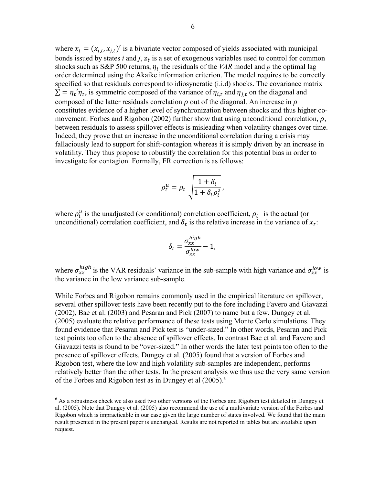where  $x_t = (x_{i,t}, x_{j,t})'$  is a bivariate vector composed of yields associated with municipal bonds issued by states  $i$  and  $j$ ,  $z_t$  is a set of exogenous variables used to control for common shocks such as S&P 500 returns,  $\eta_t$  the residuals of the *VAR* model and *p* the optimal lag order determined using the Akaike information criterion. The model requires to be correctly specified so that residuals correspond to idiosyncratic (i.i.d) shocks. The covariance matrix  $\Sigma = \eta_t' \eta_t$ , is symmetric composed of the variance of  $\eta_{i,t}$  and  $\eta_{i,t}$  on the diagonal and composed of the latter residuals correlation  $\rho$  out of the diagonal. An increase in  $\rho$ constitutes evidence of a higher level of synchronization between shocks and thus higher comovement. Forbes and Rigobon (2002) further show that using unconditional correlation,  $\rho$ , between residuals to assess spillover effects is misleading when volatility changes over time. Indeed, they prove that an increase in the unconditional correlation during a crisis may fallaciously lead to support for shift-contagion whereas it is simply driven by an increase in volatility. They thus propose to robustify the correlation for this potential bias in order to investigate for contagion. Formally, FR correction is as follows:

$$
\rho_t^u = \rho_t \sqrt{\frac{1 + \delta_t}{1 + \delta_t \rho_t^2}},
$$

where  $\rho_t^u$  is the unadjusted (or conditional) correlation coefficient,  $\rho_t$  is the actual (or unconditional) correlation coefficient, and  $\delta_t$  is the relative increase in the variance of  $x_t$ :

$$
\delta_t = \frac{\sigma_{xx}^{high}}{\sigma_{xx}^{low}} - 1,
$$

where  $\sigma_{xx}^{high}$  is the VAR residuals' variance in the sub-sample with high variance and  $\sigma_{xx}^{low}$  is the variance in the low variance sub-sample.

While Forbes and Rigobon remains commonly used in the empirical literature on spillover, several other spillover tests have been recently put to the fore including Favero and Giavazzi (2002), Bae et al. (2003) and Pesaran and Pick (2007) to name but a few. Dungey et al. (2005) evaluate the relative performance of these tests using Monte Carlo simulations. They found evidence that Pesaran and Pick test is "under-sized." In other words, Pesaran and Pick test points too often to the absence of spillover effects. In contrast Bae et al. and Favero and Giavazzi tests is found to be "over-sized." In other words the later test points too often to the presence of spillover effects. Dungey et al. (2005) found that a version of Forbes and Rigobon test, where the low and high volatility sub-samples are independent, performs relatively better than the other tests. In the present analysis we thus use the very same version of the Forbes and Rigobon test as in Dungey et al (2005).<sup>6</sup>

1

<sup>&</sup>lt;sup>6</sup> As a robustness check we also used two other versions of the Forbes and Rigobon test detailed in Dungey et al. (2005). Note that Dungey et al. (2005) also recommend the use of a multivariate version of the Forbes and Rigobon which is impracticable in our case given the large number of states involved. We found that the main result presented in the present paper is unchanged. Results are not reported in tables but are available upon request.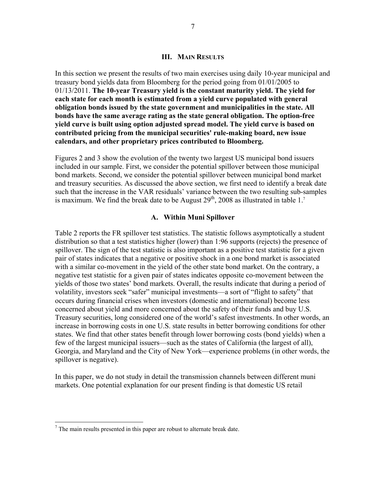#### **III. MAIN RESULTS**

In this section we present the results of two main exercises using daily 10-year municipal and treasury bond yields data from Bloomberg for the period going from 01/01/2005 to 01/13/2011. **The 10-year Treasury yield is the constant maturity yield. The yield for each state for each month is estimated from a yield curve populated with general obligation bonds issued by the state government and municipalities in the state. All bonds have the same average rating as the state general obligation. The option-free yield curve is built using option adjusted spread model. The yield curve is based on contributed pricing from the municipal securities' rule-making board, new issue calendars, and other proprietary prices contributed to Bloomberg.** 

Figures 2 and 3 show the evolution of the twenty two largest US municipal bond issuers included in our sample. First, we consider the potential spillover between those municipal bond markets. Second, we consider the potential spillover between municipal bond market and treasury securities. As discussed the above section, we first need to identify a break date such that the increase in the VAR residuals' variance between the two resulting sub-samples is maximum. We find the break date to be August  $29<sup>th</sup>$ , 2008 as illustrated in table 1.<sup>7</sup>

#### **A. Within Muni Spillover**

Table 2 reports the FR spillover test statistics. The statistic follows asymptotically a student distribution so that a test statistics higher (lower) than 1:96 supports (rejects) the presence of spillover. The sign of the test statistic is also important as a positive test statistic for a given pair of states indicates that a negative or positive shock in a one bond market is associated with a similar co-movement in the yield of the other state bond market. On the contrary, a negative test statistic for a given pair of states indicates opposite co-movement between the yields of those two states' bond markets. Overall, the results indicate that during a period of volatility, investors seek "safer" municipal investments—a sort of "flight to safety" that occurs during financial crises when investors (domestic and international) become less concerned about yield and more concerned about the safety of their funds and buy U.S. Treasury securities, long considered one of the world's safest investments. In other words, an increase in borrowing costs in one U.S. state results in better borrowing conditions for other states. We find that other states benefit through lower borrowing costs (bond yields) when a few of the largest municipal issuers—such as the states of California (the largest of all), Georgia, and Maryland and the City of New York—experience problems (in other words, the spillover is negative).

In this paper, we do not study in detail the transmission channels between different muni markets. One potential explanation for our present finding is that domestic US retail

<sup>&</sup>lt;sup>7</sup> The main results presented in this paper are robust to alternate break date.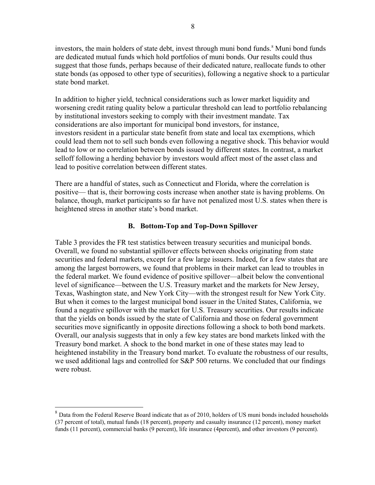investors, the main holders of state debt, invest through muni bond funds.<sup>8</sup> Muni bond funds are dedicated mutual funds which hold portfolios of muni bonds. Our results could thus suggest that those funds, perhaps because of their dedicated nature, reallocate funds to other state bonds (as opposed to other type of securities), following a negative shock to a particular state bond market.

In addition to higher yield, technical considerations such as lower market liquidity and worsening credit rating quality below a particular threshold can lead to portfolio rebalancing by institutional investors seeking to comply with their investment mandate. Tax considerations are also important for municipal bond investors, for instance, investors resident in a particular state benefit from state and local tax exemptions, which could lead them not to sell such bonds even following a negative shock. This behavior would lead to low or no correlation between bonds issued by different states. In contrast, a market selloff following a herding behavior by investors would affect most of the asset class and lead to positive correlation between different states.

There are a handful of states, such as Connecticut and Florida, where the correlation is positive— that is, their borrowing costs increase when another state is having problems. On balance, though, market participants so far have not penalized most U.S. states when there is heightened stress in another state's bond market.

# **B. Bottom-Top and Top-Down Spillover**

Table 3 provides the FR test statistics between treasury securities and municipal bonds. Overall, we found no substantial spillover effects between shocks originating from state securities and federal markets, except for a few large issuers. Indeed, for a few states that are among the largest borrowers, we found that problems in their market can lead to troubles in the federal market. We found evidence of positive spillover—albeit below the conventional level of significance—between the U.S. Treasury market and the markets for New Jersey, Texas, Washington state, and New York City—with the strongest result for New York City. But when it comes to the largest municipal bond issuer in the United States, California, we found a negative spillover with the market for U.S. Treasury securities. Our results indicate that the yields on bonds issued by the state of California and those on federal government securities move significantly in opposite directions following a shock to both bond markets. Overall, our analysis suggests that in only a few key states are bond markets linked with the Treasury bond market. A shock to the bond market in one of these states may lead to heightened instability in the Treasury bond market. To evaluate the robustness of our results, we used additional lags and controlled for S&P 500 returns. We concluded that our findings were robust.

 $\overline{a}$ 

<sup>&</sup>lt;sup>8</sup> Data from the Federal Reserve Board indicate that as of 2010, holders of US muni bonds included households (37 percent of total), mutual funds (18 percent), property and casualty insurance (12 percent), money market funds (11 percent), commercial banks (9 percent), life insurance (4percent), and other investors (9 percent).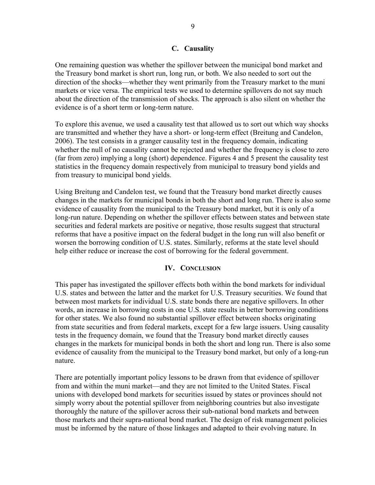## **C. Causality**

One remaining question was whether the spillover between the municipal bond market and the Treasury bond market is short run, long run, or both. We also needed to sort out the direction of the shocks—whether they went primarily from the Treasury market to the muni markets or vice versa. The empirical tests we used to determine spillovers do not say much about the direction of the transmission of shocks. The approach is also silent on whether the evidence is of a short term or long-term nature.

To explore this avenue, we used a causality test that allowed us to sort out which way shocks are transmitted and whether they have a short- or long-term effect (Breitung and Candelon, 2006). The test consists in a granger causality test in the frequency domain, indicating whether the null of no causality cannot be rejected and whether the frequency is close to zero (far from zero) implying a long (short) dependence. Figures 4 and 5 present the causality test statistics in the frequency domain respectively from municipal to treasury bond yields and from treasury to municipal bond yields.

Using Breitung and Candelon test, we found that the Treasury bond market directly causes changes in the markets for municipal bonds in both the short and long run. There is also some evidence of causality from the municipal to the Treasury bond market, but it is only of a long-run nature. Depending on whether the spillover effects between states and between state securities and federal markets are positive or negative, those results suggest that structural reforms that have a positive impact on the federal budget in the long run will also benefit or worsen the borrowing condition of U.S. states. Similarly, reforms at the state level should help either reduce or increase the cost of borrowing for the federal government.

### **IV. CONCLUSION**

This paper has investigated the spillover effects both within the bond markets for individual U.S. states and between the latter and the market for U.S. Treasury securities. We found that between most markets for individual U.S. state bonds there are negative spillovers. In other words, an increase in borrowing costs in one U.S. state results in better borrowing conditions for other states. We also found no substantial spillover effect between shocks originating from state securities and from federal markets, except for a few large issuers. Using causality tests in the frequency domain, we found that the Treasury bond market directly causes changes in the markets for municipal bonds in both the short and long run. There is also some evidence of causality from the municipal to the Treasury bond market, but only of a long-run nature.

There are potentially important policy lessons to be drawn from that evidence of spillover from and within the muni market—and they are not limited to the United States. Fiscal unions with developed bond markets for securities issued by states or provinces should not simply worry about the potential spillover from neighboring countries but also investigate thoroughly the nature of the spillover across their sub-national bond markets and between those markets and their supra-national bond market. The design of risk management policies must be informed by the nature of those linkages and adapted to their evolving nature. In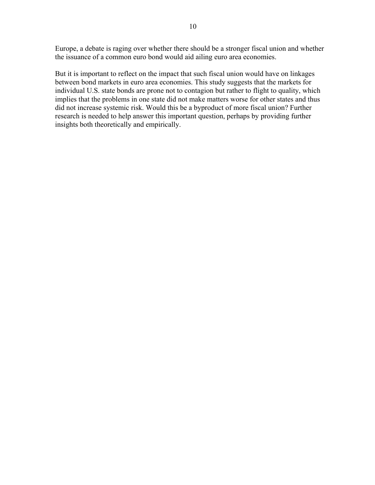Europe, a debate is raging over whether there should be a stronger fiscal union and whether the issuance of a common euro bond would aid ailing euro area economies.

But it is important to reflect on the impact that such fiscal union would have on linkages between bond markets in euro area economies. This study suggests that the markets for individual U.S. state bonds are prone not to contagion but rather to flight to quality, which implies that the problems in one state did not make matters worse for other states and thus did not increase systemic risk. Would this be a byproduct of more fiscal union? Further research is needed to help answer this important question, perhaps by providing further insights both theoretically and empirically.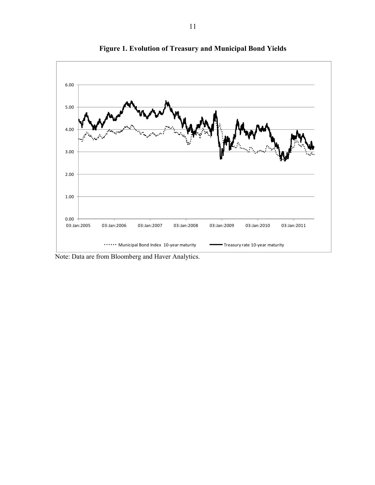

**Figure 1. Evolution of Treasury and Municipal Bond Yields** 

Note: Data are from Bloomberg and Haver Analytics.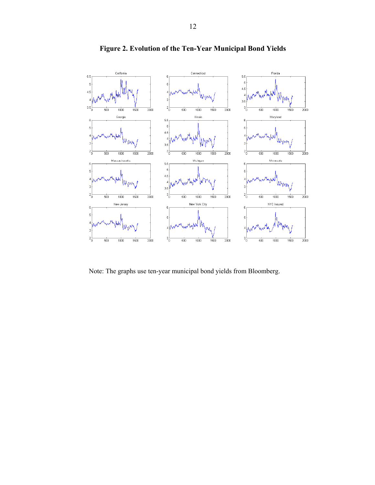

**Figure 2. Evolution of the Ten-Year Municipal Bond Yields** 

Note: The graphs use ten-year municipal bond yields from Bloomberg.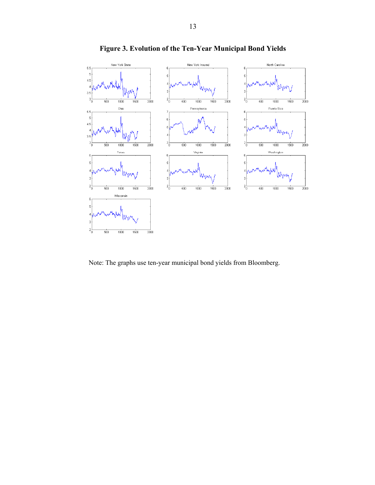

**Figure 3. Evolution of the Ten-Year Municipal Bond Yields** 

Note: The graphs use ten-year municipal bond yields from Bloomberg.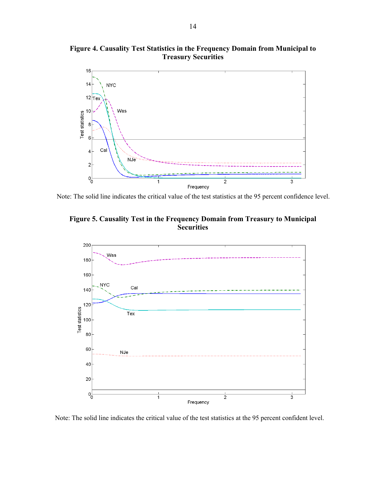

**Figure 4. Causality Test Statistics in the Frequency Domain from Municipal to Treasury Securities** 

Note: The solid line indicates the critical value of the test statistics at the 95 percent confidence level.





Note: The solid line indicates the critical value of the test statistics at the 95 percent confident level.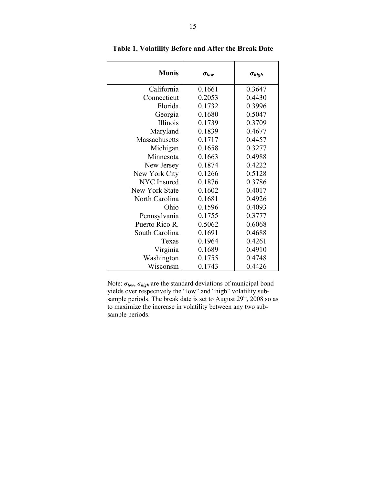| <b>Munis</b>       | $\sigma_{low}$ | $\sigma_{high}$ |
|--------------------|----------------|-----------------|
| California         | 0.1661         | 0.3647          |
| Connecticut        | 0.2053         | 0.4430          |
| Florida            | 0.1732         | 0.3996          |
| Georgia            | 0.1680         | 0.5047          |
| Illinois           | 0.1739         | 0.3709          |
| Maryland           | 0.1839         | 0.4677          |
| Massachusetts      | 0.1717         | 0.4457          |
| Michigan           | 0.1658         | 0.3277          |
| Minnesota          | 0.1663         | 0.4988          |
| New Jersey         | 0.1874         | 0.4222          |
| New York City      | 0.1266         | 0.5128          |
| <b>NYC</b> Insured | 0.1876         | 0.3786          |
| New York State     | 0.1602         | 0.4017          |
| North Carolina     | 0.1681         | 0.4926          |
| Ohio               | 0.1596         | 0.4093          |
| Pennsylvania       | 0.1755         | 0.3777          |
| Puerto Rico R.     | 0.5062         | 0.6068          |
| South Carolina     | 0.1691         | 0.4688          |
| Texas              | 0.1964         | 0.4261          |
| Virginia           | 0.1689         | 0.4910          |
| Washington         | 0.1755         | 0.4748          |
| Wisconsin          | 0.1743         | 0.4426          |

**Table 1. Volatility Before and After the Break Date** 

Note: *σlow*, *σhigh* are the standard deviations of municipal bond yields over respectively the "low" and "high" volatility subsample periods. The break date is set to August  $29<sup>th</sup>$ ,  $2008$  so as to maximize the increase in volatility between any two subsample periods.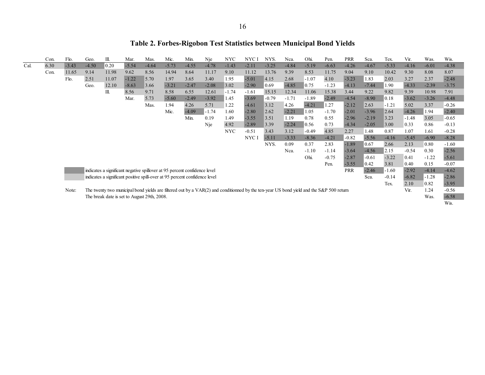# **Table 2. Forbes-Rigobon Test Statistics between Municipal Bond Yields**

|     | Con. | Flo.    | Geo.    | Ill.  | Mar.    | Mas.                                                                       | Mic.    | Min.    | Nje     | NYC.       | NYC I   | NYS.    | Nca.    | Ohi.                                                                                                                                    | Pen.    | <b>PRR</b> | Sca.    | Tex.    | Vir.    | Was.    | Wis.    |
|-----|------|---------|---------|-------|---------|----------------------------------------------------------------------------|---------|---------|---------|------------|---------|---------|---------|-----------------------------------------------------------------------------------------------------------------------------------------|---------|------------|---------|---------|---------|---------|---------|
| Cal | 6.30 | $-3.43$ | $-4.50$ | 0.20  | $-5.54$ | $-4.64$                                                                    | $-5.73$ | $-4.55$ | $-4.78$ | $-1.43$    | $-2.11$ | $-3.25$ | $-4.84$ | $-5.19$                                                                                                                                 | $-6.63$ | $-4.26$    | $-4.67$ | $-5.33$ | $-4.16$ | $-6.01$ | $-4.38$ |
|     | Con. | 11.65   | 9.14    | 11.98 | 9.62    | 8.56                                                                       | 14.94   | 8.64    | 11.17   | 9.10       | 11.12   | 13.76   | 9.39    | 8.53                                                                                                                                    | 11.75   | 9.04       | 9.10    | 10.42   | 9.30    | 8.08    | 8.07    |
|     |      | Flo.    | 2.51    | 11.07 | $-1.22$ | 5.70                                                                       | 1.97    | 3.65    | 3.40    | 1.95       | $-5.01$ | 4.15    | 2.68    | $-1.07$                                                                                                                                 | 4.10    | $-3.23$    | 1.83    | 2.03    | 3.27    | 2.37    | $-2.48$ |
|     |      |         | Geo.    | 12.10 | $-8.63$ | 3.66                                                                       | $-3.21$ | $-2.47$ | $-2.08$ | 3.02       | $-2.90$ | 0.69    | $-4.85$ | 0.75                                                                                                                                    | $-1.23$ | $-4.13$    | $-7.44$ | 1.90    | $-4.33$ | $-2.39$ | $-3.75$ |
|     |      |         |         | Ill.  | 8.56    | 9.71                                                                       | 8.58    | 6.55    | 12.61   | $-1.74$    | $-1.61$ | 15.15   | 12.34   | 11.06                                                                                                                                   | 15.38   | 3.44       | 9.22    | 9.82    | 9.39    | 10.98   | 7.91    |
|     |      |         |         |       | Mar.    | 5.73                                                                       | $-5.60$ | $-2.49$ | $-3.92$ | 1.45       | $-3.69$ | $-0.79$ | $-1.71$ | $-1.89$                                                                                                                                 | $-2.49$ | $-4.54$    | $-8.90$ | 0.18    | $-3.62$ | $-3.26$ | $-4.48$ |
|     |      |         |         |       |         | Mas.                                                                       | 1.94    | 4.26    | 5.71    | 1.22       | $-4.61$ | 3.12    | 4.26    | $-4.21$                                                                                                                                 | 1.27    | $-2.12$    | 2.63    | $-1.21$ | 5.02    | 3.37    | $-0.26$ |
|     |      |         |         |       |         |                                                                            | Mic.    | $-4.09$ | $-1.74$ | 1.60       | $-2.80$ | 2.62    | $-2.21$ | 1.05                                                                                                                                    | $-1.70$ | $-2.01$    | $-3.96$ | 2.64    | $-4.26$ | 1.94    | $-2.40$ |
|     |      |         |         |       |         |                                                                            |         | Min.    | 0.19    | 1.49       | $-3.55$ | 3.51    | 1.19    | 0.78                                                                                                                                    | 0.55    | $-2.96$    | $-2.19$ | 3.23    | $-1.48$ | 3.05    | $-0.65$ |
|     |      |         |         |       |         |                                                                            |         |         | Nje     | 4.92       | $-2.89$ | 3.39    | $-2.24$ | $\vert 0.56 \vert$                                                                                                                      | 0.73    | $-4.34$    | $-2.05$ | 3.00    | 0.33    | 0.86    | $-0.13$ |
|     |      |         |         |       |         |                                                                            |         |         |         | <b>NYC</b> | $-0.51$ | 3.43    | 3.12    | $-0.49$                                                                                                                                 | 4.85    | 2.27       | 1.48    | 0.87    | 1.07    | 1.61    | $-0.28$ |
|     |      |         |         |       |         |                                                                            |         |         |         |            | NYC I   | $-5.11$ | $-3.33$ | $-8.36$                                                                                                                                 | $-4.21$ | $-0.82$    | $-5.56$ | $-4.16$ | $-5.45$ | $-6.90$ | $-8.28$ |
|     |      |         |         |       |         |                                                                            |         |         |         |            |         | NYS.    | 0.09    | 0.37                                                                                                                                    | 2.83    | $-1.89$    | 0.67    | 2.66    | 2.13    | 0.80    | $-1.60$ |
|     |      |         |         |       |         |                                                                            |         |         |         |            |         |         | Nca.    | $-1.10$                                                                                                                                 | $-1.14$ | $-3.64$    | $-4.56$ | 2.15    | $-0.54$ | 0.30    | $-2.56$ |
|     |      |         |         |       |         |                                                                            |         |         |         |            |         |         |         | Ohi.                                                                                                                                    | $-0.75$ | $-2.87$    | $-0.61$ | $-3.22$ | 0.41    | $-1.22$ | $-5.61$ |
|     |      |         |         |       |         |                                                                            |         |         |         |            |         |         |         |                                                                                                                                         | Pen.    | $-3.55$    | 0.42    | 3.81    | 0.40    | 0.15    | $-0.07$ |
|     |      |         |         |       |         | indicates a significant negative spillover at 95 percent confidence level  |         |         |         |            |         |         |         |                                                                                                                                         |         | <b>PRR</b> | $-2.46$ | $-1.60$ | $-2.92$ | $-4.14$ | $-4.62$ |
|     |      |         |         |       |         | indicates a significant positive spill-over at 95 percent confidence level |         |         |         |            |         |         |         |                                                                                                                                         |         |            | Sca.    | $-0.14$ | $-6.82$ | $-1.28$ | $-2.86$ |
|     |      |         |         |       |         |                                                                            |         |         |         |            |         |         |         |                                                                                                                                         |         |            |         | Tex.    | 2.10    | 0.82    | $-3.95$ |
|     |      | Note:   |         |       |         |                                                                            |         |         |         |            |         |         |         | The twenty two municipal bond yields are filtered out by a VAR(2) and conditionned by the ten-year US bond yield and the S&P 500 return |         |            |         |         | Vir.    | 1.24    | $-0.56$ |
|     |      |         |         |       |         | The break date is set to August 29th, 2008.                                |         |         |         |            |         |         |         |                                                                                                                                         |         |            |         |         |         | Was.    | $-6.58$ |
|     |      |         |         |       |         |                                                                            |         |         |         |            |         |         |         |                                                                                                                                         |         |            |         |         |         |         | Wis.    |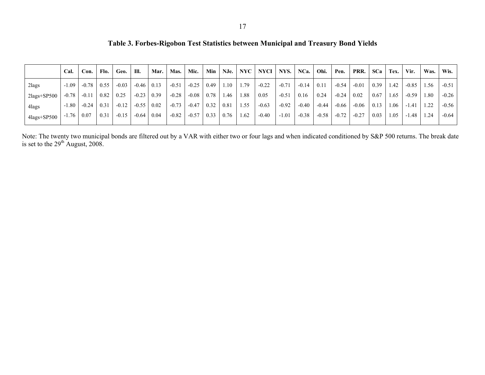**Table 3. Forbes-Rigobon Test Statistics between Municipal and Treasury Bond Yields** 

|                | Cal.    | Con.    | Flo. | Geo.    | III.    | Mar. | Mas.    | Mic.    | Min  | NJe. | NYC  | NYCI    | NYS.    | NCa.    | Ohi.    | Pen.    | PRR.    | <b>SCa</b> | Tex. | Vir.    | Was.            | Wis.    |
|----------------|---------|---------|------|---------|---------|------|---------|---------|------|------|------|---------|---------|---------|---------|---------|---------|------------|------|---------|-----------------|---------|
| $2$ lags       | $-1.09$ | $-0.78$ | 0.55 | $-0.03$ | $-0.46$ | 0.13 | $-0.51$ | $-0.25$ | 0.49 | 1.10 | . 79 | $-0.22$ | $-0.71$ | $-0.14$ | 0.11    | $-0.54$ | $-0.01$ | 0.39       | . 42 | $-0.85$ | .56             | $-0.51$ |
| $2$ lags+SP500 | $-0.78$ | $-0.11$ | 0.82 | 0.25    | $-0.23$ | 0.39 | $-0.28$ | $-0.08$ | 0.78 | 1.46 | .88  | 0.05    | $-0.51$ | 0.16    | 0.24    | $-0.24$ | 0.02    | 0.67       | 1.65 | $-0.59$ | 1.80            | $-0.26$ |
| 4 lags         | $-1.80$ | $-0.24$ | 0.31 | $-0.12$ | $-0.55$ | 0.02 | $-0.73$ | $-0.47$ | 0.32 | 0.81 | .55  | $-0.63$ | $-0.92$ | $-0.40$ | $-0.44$ | $-0.66$ | $-0.06$ | 0.13       | .06  | $-1.41$ | $\overline{22}$ | $-0.56$ |
| $4$ lags+SP500 | $-1.76$ | 0.07    | 0.31 | $-0.15$ | $-0.64$ | 0.04 | $-0.82$ | $-0.57$ | 0.33 | 0.76 | .62  | $-0.40$ | $-1.01$ | $-0.38$ | $-0.58$ | $-0.72$ | $-0.27$ | 0.03       | 1.05 | $-1.48$ | l.24            | $-0.64$ |

Note: The twenty two municipal bonds are filtered out by a VAR with either two or four lags and when indicated conditioned by S&P 500 returns. The break date is set to the  $29<sup>th</sup>$  August, 2008.